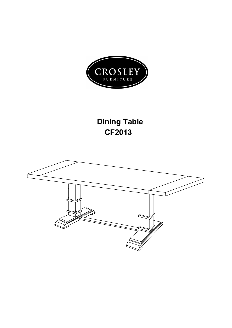

## **Dining Table CF2013**

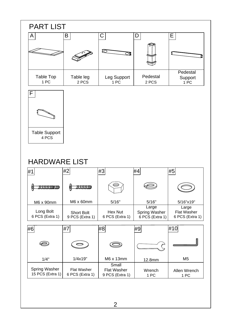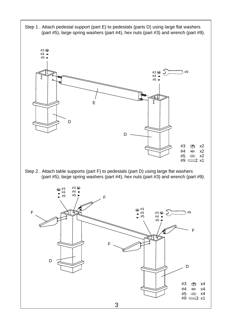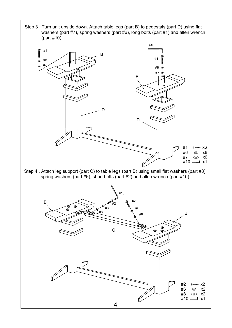Step 3 . Turn unit upside down. Attach table legs (part B) to pedestals (part D) using flat washers (part #7), spring washers (part #6), long bolts (part #1) and allen wrench (part #10).